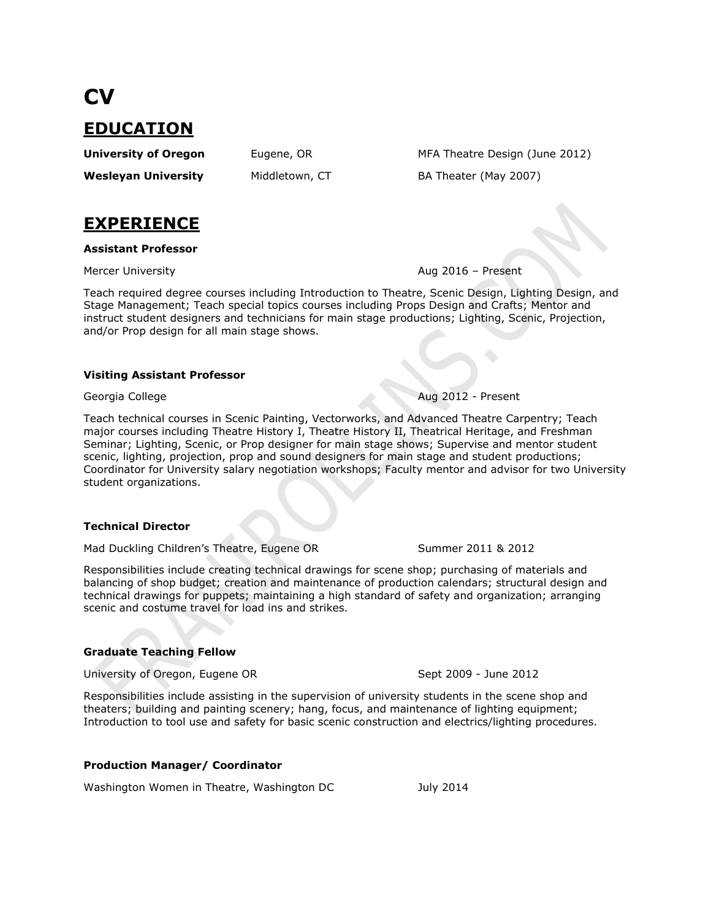**EDUCATION**

**CV**

**Wesleyan University** Middletown, CT BA Theater (May 2007)

**University of Oregon** Eugene, OR MFA Theatre Design (June 2012)

# **EXPERIENCE**

# **Assistant Professor**

Mercer University **Aug 2016 – Present** 

Teach required degree courses including Introduction to Theatre, Scenic Design, Lighting Design, and Stage Management; Teach special topics courses including Props Design and Crafts; Mentor and instruct student designers and technicians for main stage productions; Lighting, Scenic, Projection, and/or Prop design for all main stage shows.

# **Visiting Assistant Professor**

Georgia College **Aug 2012 - Present** 

Teach technical courses in Scenic Painting, Vectorworks, and Advanced Theatre Carpentry; Teach major courses including Theatre History I, Theatre History II, Theatrical Heritage, and Freshman Seminar; Lighting, Scenic, or Prop designer for main stage shows; Supervise and mentor student scenic, lighting, projection, prop and sound designers for main stage and student productions; Coordinator for University salary negotiation workshops; Faculty mentor and advisor for two University student organizations.

# **Technical Director**

Mad Duckling Children's Theatre, Eugene OR Summer 2011 & 2012

Responsibilities include creating technical drawings for scene shop; purchasing of materials and balancing of shop budget; creation and maintenance of production calendars; structural design and technical drawings for puppets; maintaining a high standard of safety and organization; arranging scenic and costume travel for load ins and strikes.

# **Graduate Teaching Fellow**

University of Oregon, Eugene OR Sept 2009 - June 2012

Responsibilities include assisting in the supervision of university students in the scene shop and theaters; building and painting scenery; hang, focus, and maintenance of lighting equipment; Introduction to tool use and safety for basic scenic construction and electrics/lighting procedures.

# **Production Manager/ Coordinator**

Washington Women in Theatre, Washington DC July 2014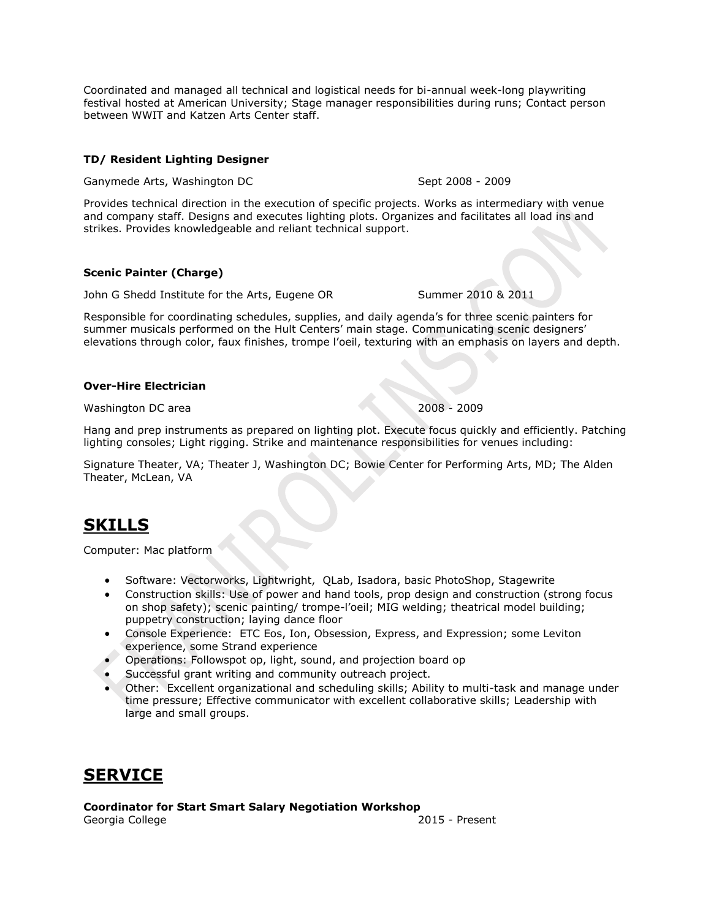Coordinated and managed all technical and logistical needs for bi-annual week-long playwriting festival hosted at American University; Stage manager responsibilities during runs; Contact person between WWIT and Katzen Arts Center staff.

# **TD/ Resident Lighting Designer**

Ganymede Arts, Washington DC and Sept 2008 - 2009

Provides technical direction in the execution of specific projects. Works as intermediary with venue and company staff. Designs and executes lighting plots. Organizes and facilitates all load ins and strikes. Provides knowledgeable and reliant technical support.

# **Scenic Painter (Charge)**

John G Shedd Institute for the Arts, Eugene OR Summer 2010 & 2011

Responsible for coordinating schedules, supplies, and daily agenda's for three scenic painters for summer musicals performed on the Hult Centers' main stage. Communicating scenic designers' elevations through color, faux finishes, trompe l'oeil, texturing with an emphasis on layers and depth.

# **Over-Hire Electrician**

Washington DC area 2009 - 2009 - 2009 - 2009 - 2009 - 2009 - 2009 - 2009 - 2009 - 2009 - 2009 - 2009 - 2009 - 2009 - 2009 - 2009 - 2009 - 2009 - 2009 - 2009 - 2009 - 2009 - 2009 - 2009 - 2009 - 2009 - 2009 - 2009 - 2009 -

Hang and prep instruments as prepared on lighting plot. Execute focus quickly and efficiently. Patching lighting consoles; Light rigging. Strike and maintenance responsibilities for venues including:

Signature Theater, VA; Theater J, Washington DC; Bowie Center for Performing Arts, MD; The Alden Theater, McLean, VA

# **SKILLS**

Computer: Mac platform

- Software: Vectorworks, Lightwright, QLab, Isadora, basic PhotoShop, Stagewrite
- Construction skills: Use of power and hand tools, prop design and construction (strong focus on shop safety); scenic painting/ trompe-l'oeil; MIG welding; theatrical model building; puppetry construction; laying dance floor
- Console Experience: ETC Eos, Ion, Obsession, Express, and Expression; some Leviton experience, some Strand experience
- Operations: Followspot op, light, sound, and projection board op
- Successful grant writing and community outreach project.
- Other: Excellent organizational and scheduling skills; Ability to multi-task and manage under time pressure; Effective communicator with excellent collaborative skills; Leadership with large and small groups.

# **SERVICE**

**Coordinator for Start Smart Salary Negotiation Workshop** 

Georgia College 2015 - Present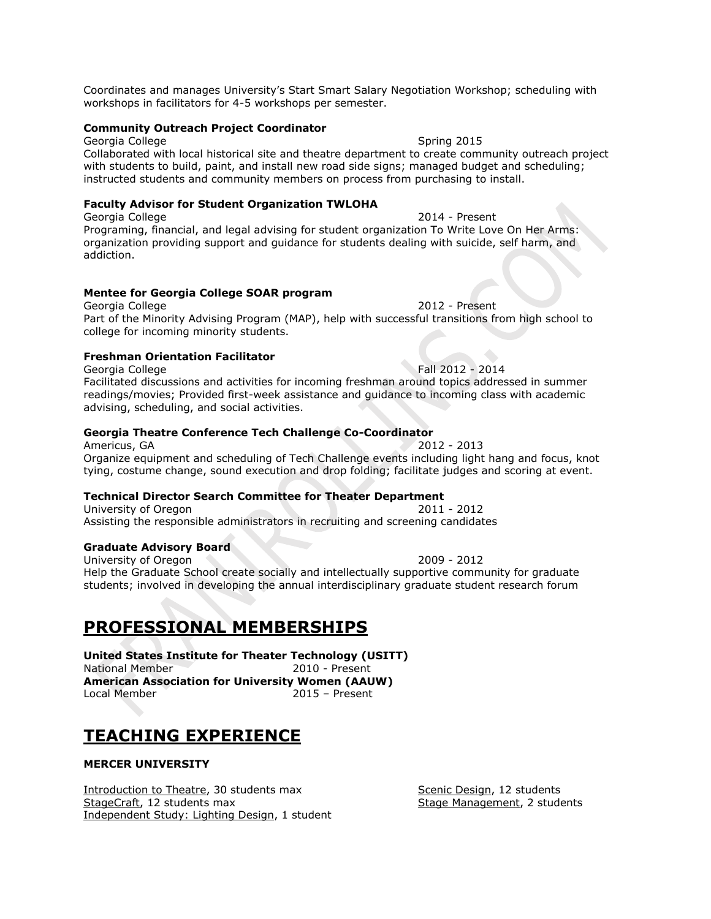Coordinates and manages University's Start Smart Salary Negotiation Workshop; scheduling with workshops in facilitators for 4-5 workshops per semester.

#### **Community Outreach Project Coordinator**

Georgia College Spring 2015

Collaborated with local historical site and theatre department to create community outreach project with students to build, paint, and install new road side signs; managed budget and scheduling; instructed students and community members on process from purchasing to install.

# **Faculty Advisor for Student Organization TWLOHA**

Georgia College 2014 - Present Programing, financial, and legal advising for student organization To Write Love On Her Arms: organization providing support and guidance for students dealing with suicide, self harm, and addiction.

## **Mentee for Georgia College SOAR program**

Georgia College 2012 - Present Part of the Minority Advising Program (MAP), help with successful transitions from high school to college for incoming minority students.

#### **Freshman Orientation Facilitator**

Georgia College **Fall 2012 - 2014** Facilitated discussions and activities for incoming freshman around topics addressed in summer readings/movies; Provided first-week assistance and guidance to incoming class with academic advising, scheduling, and social activities.

## **Georgia Theatre Conference Tech Challenge Co-Coordinator**

Americus, GA 2012 - 2013 Organize equipment and scheduling of Tech Challenge events including light hang and focus, knot tying, costume change, sound execution and drop folding; facilitate judges and scoring at event.

# **Technical Director Search Committee for Theater Department**

University of Oregon 2011 - 2012 Assisting the responsible administrators in recruiting and screening candidates

#### **Graduate Advisory Board**

University of Oregon 2009 - 2012 Help the Graduate School create socially and intellectually supportive community for graduate students; involved in developing the annual interdisciplinary graduate student research forum

# **PROFESSIONAL MEMBERSHIPS**

**United States Institute for Theater Technology (USITT)** National Member 2010 - Present **American Association for University Women (AAUW)** Local Member 2015 – Present

# **TEACHING EXPERIENCE**

# **MERCER UNIVERSITY**

Introduction to Theatre, 30 students max Scenic Design, 12 students StageCraft, 12 students max Stage Management, 2 students Independent Study: Lighting Design, 1 student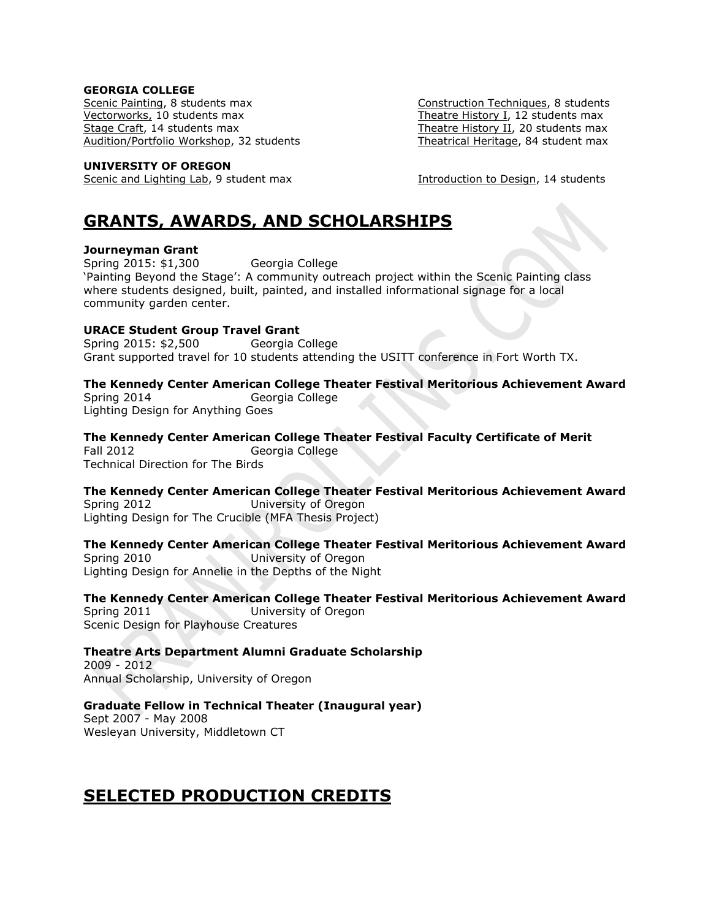### **GEORGIA COLLEGE**

Scenic Painting, 8 students max Construction Techniques, 8 students Vectorworks, 10 students max Theatre History I, 12 students max Stage Craft, 14 students max Theatre History II, 20 students max Audition/Portfolio Workshop, 32 students Theatrical Heritage, 84 student max

#### **UNIVERSITY OF OREGON**

Scenic and Lighting Lab, 9 student max Introduction to Design, 14 students

# **GRANTS, AWARDS, AND SCHOLARSHIPS**

# **Journeyman Grant**

Spring 2015: \$1,300 Georgia College 'Painting Beyond the Stage': A community outreach project within the Scenic Painting class where students designed, built, painted, and installed informational signage for a local community garden center.

# **URACE Student Group Travel Grant**

Spring 2015: \$2,500 Georgia College Grant supported travel for 10 students attending the USITT conference in Fort Worth TX.

# **The Kennedy Center American College Theater Festival Meritorious Achievement Award**

Spring 2014 Georgia College Lighting Design for Anything Goes

# **The Kennedy Center American College Theater Festival Faculty Certificate of Merit**

Fall 2012 Georgia College Technical Direction for The Birds

# **The Kennedy Center American College Theater Festival Meritorious Achievement Award**

Spring 2012 University of Oregon Lighting Design for The Crucible (MFA Thesis Project)

# **The Kennedy Center American College Theater Festival Meritorious Achievement Award**

Spring 2010 University of Oregon Lighting Design for Annelie in the Depths of the Night

# **The Kennedy Center American College Theater Festival Meritorious Achievement Award**  Spring 2011 University of Oregon

Scenic Design for Playhouse Creatures

# **Theatre Arts Department Alumni Graduate Scholarship**

2009 - 2012 Annual Scholarship, University of Oregon

# **Graduate Fellow in Technical Theater (Inaugural year)**

Sept 2007 - May 2008 Wesleyan University, Middletown CT

# **SELECTED PRODUCTION CREDITS**